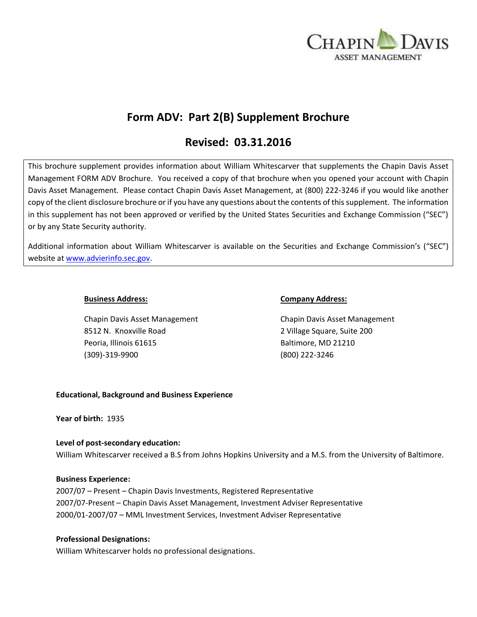

# **Form ADV: Part 2(B) Supplement Brochure**

# **Revised: 03.31.2016**

This brochure supplement provides information about William Whitescarver that supplements the Chapin Davis Asset Management FORM ADV Brochure. You received a copy of that brochure when you opened your account with Chapin Davis Asset Management. Please contact Chapin Davis Asset Management, at (800) 222-3246 if you would like another copy of the client disclosure brochure or if you have any questions about the contents of this supplement. The information in this supplement has not been approved or verified by the United States Securities and Exchange Commission ("SEC") or by any State Security authority.

Additional information about William Whitescarver is available on the Securities and Exchange Commission's ("SEC") website at [www.advierinfo.sec.gov.](http://www.advierinfo.sec.gov/)

Chapin Davis Asset Management Chapin Davis Asset Management 8512 N. Knoxville Road 2 Village Square, Suite 200 Peoria, Illinois 61615 Baltimore, MD 21210 (309)-319-9900 (800) 222-3246

# **Business Address: Company Address:**

# **Educational, Background and Business Experience**

**Year of birth:** 1935

# **Level of post-secondary education:**

William Whitescarver received a B.S from Johns Hopkins University and a M.S. from the University of Baltimore.

#### **Business Experience:**

2007/07 – Present – Chapin Davis Investments, Registered Representative 2007/07-Present – Chapin Davis Asset Management, Investment Adviser Representative 2000/01-2007/07 – MML Investment Services, Investment Adviser Representative

# **Professional Designations:**

William Whitescarver holds no professional designations.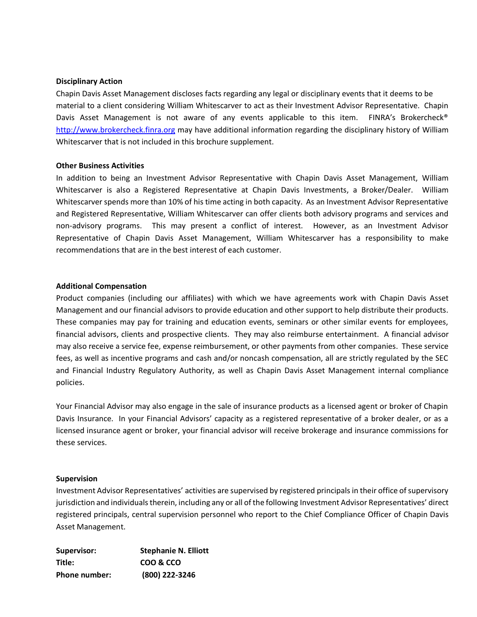#### **Disciplinary Action**

Chapin Davis Asset Management discloses facts regarding any legal or disciplinary events that it deems to be material to a client considering William Whitescarver to act as their Investment Advisor Representative. Chapin Davis Asset Management is not aware of any events applicable to this item. FINRA's Brokercheck<sup>®</sup> [http://www.brokercheck.finra.org](http://www.brokercheck.finra.org/) may have additional information regarding the disciplinary history of William Whitescarver that is not included in this brochure supplement.

# **Other Business Activities**

In addition to being an Investment Advisor Representative with Chapin Davis Asset Management, William Whitescarver is also a Registered Representative at Chapin Davis Investments, a Broker/Dealer. William Whitescarver spends more than 10% of his time acting in both capacity. As an Investment Advisor Representative and Registered Representative, William Whitescarver can offer clients both advisory programs and services and non-advisory programs. This may present a conflict of interest. However, as an Investment Advisor Representative of Chapin Davis Asset Management, William Whitescarver has a responsibility to make recommendations that are in the best interest of each customer.

# **Additional Compensation**

Product companies (including our affiliates) with which we have agreements work with Chapin Davis Asset Management and our financial advisors to provide education and other support to help distribute their products. These companies may pay for training and education events, seminars or other similar events for employees, financial advisors, clients and prospective clients. They may also reimburse entertainment. A financial advisor may also receive a service fee, expense reimbursement, or other payments from other companies. These service fees, as well as incentive programs and cash and/or noncash compensation, all are strictly regulated by the SEC and Financial Industry Regulatory Authority, as well as Chapin Davis Asset Management internal compliance policies.

Your Financial Advisor may also engage in the sale of insurance products as a licensed agent or broker of Chapin Davis Insurance. In your Financial Advisors' capacity as a registered representative of a broker dealer, or as a licensed insurance agent or broker, your financial advisor will receive brokerage and insurance commissions for these services.

#### **Supervision**

Investment Advisor Representatives' activities are supervised by registered principals in their office of supervisory jurisdiction and individuals therein, including any or all of the following Investment Advisor Representatives' direct registered principals, central supervision personnel who report to the Chief Compliance Officer of Chapin Davis Asset Management.

| Supervisor:          | <b>Stephanie N. Elliott</b> |
|----------------------|-----------------------------|
| Title:               | COO & CCO                   |
| <b>Phone number:</b> | (800) 222-3246              |